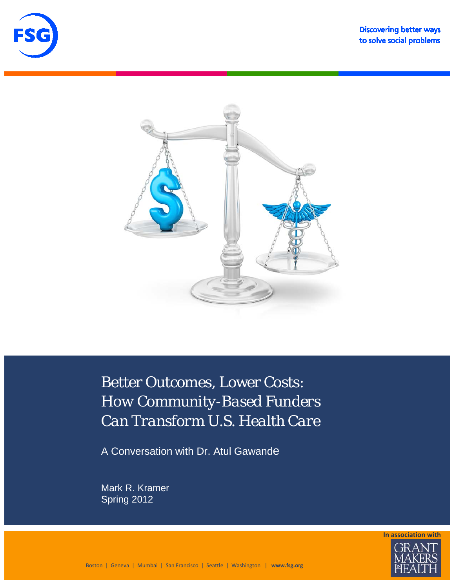





Better Outcomes, Lower Costs: *How Community-Based Funders Can Transform U.S. Health Care*

A Conversation with Dr. Atul Gawande

Mark R. Kramer Spring 2012

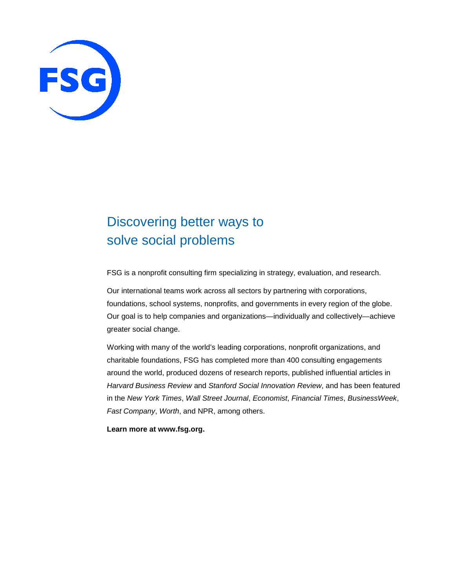

# Discovering better ways to solve social problems

FSG is a nonprofit consulting firm specializing in strategy, evaluation, and research.

Our international teams work across all sectors by partnering with corporations, foundations, school systems, nonprofits, and governments in every region of the globe. Our goal is to help companies and organizations—individually and collectively—achieve greater social change.

Working with many of the world's leading corporations, nonprofit organizations, and charitable foundations, FSG has completed more than 400 consulting engagements around the world, produced dozens of research reports, published influential articles in *Harvard Business Review* and *Stanford Social Innovation Review*, and has been featured in the *New York Times*, *Wall Street Journal*, *Economist*, *Financial Times*, *BusinessWeek*, *Fast Company*, *Worth*, and NPR, among others.

**Learn more at [www.fsg.org.](http://www.fsg.org/)**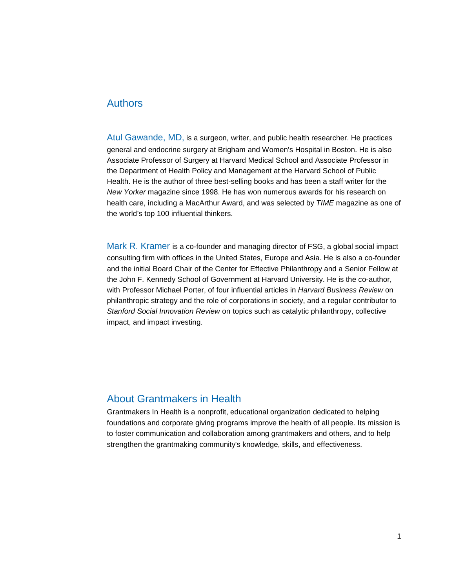#### Authors

Atul Gawande, MD, is a surgeon, writer, and public health researcher. He practices general and endocrine surgery at Brigham and Women's Hospital in Boston. He is also Associate Professor of Surgery at Harvard Medical School and Associate Professor in the Department of Health Policy and Management at the Harvard School of Public Health. He is the author of three best-selling books and has been a staff writer for the *New Yorker* magazine since 1998. He has won numerous awards for his research on health care, including a MacArthur Award, and was selected by *TIME* magazine as one of the world's top 100 influential thinkers.

Mark R. Kramer is a co-founder and managing director of FSG, a global social impact consulting firm with offices in the United States, Europe and Asia. He is also a co-founder and the initial Board Chair of the Center for Effective Philanthropy and a Senior Fellow at the John F. Kennedy School of Government at Harvard University. He is the co-author, with Professor Michael Porter, of four influential articles in *Harvard Business Review* on philanthropic strategy and the role of corporations in society, and a regular contributor to *Stanford Social Innovation Review* on topics such as catalytic philanthropy, collective impact, and impact investing.

#### About Grantmakers in Health

Grantmakers In Health is a nonprofit, educational organization dedicated to helping foundations and corporate giving programs improve the health of all people. Its mission is to foster communication and collaboration among grantmakers and others, and to help strengthen the grantmaking community's knowledge, skills, and effectiveness.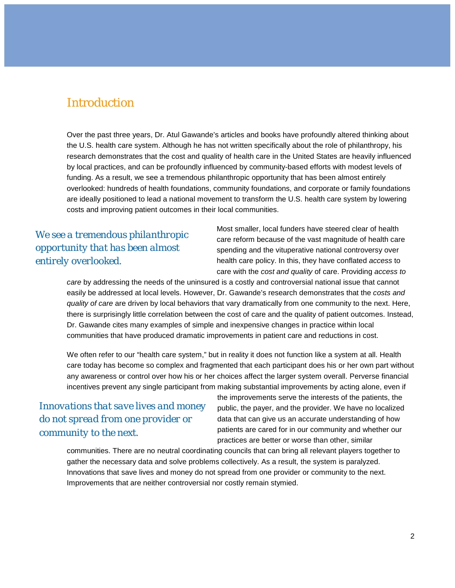## **Introduction**

Over the past three years, Dr. Atul Gawande's articles and books have profoundly altered thinking about the U.S. health care system. Although he has not written specifically about the role of philanthropy, his research demonstrates that the cost and quality of health care in the United States are heavily influenced by local practices, and can be profoundly influenced by community-based efforts with modest levels of funding. As a result, we see a tremendous philanthropic opportunity that has been almost entirely overlooked: hundreds of health foundations, community foundations, and corporate or family foundations are ideally positioned to lead a national movement to transform the U.S. health care system by lowering costs and improving patient outcomes in their local communities.

### *We see a tremendous philanthropic opportunity that has been almost entirely overlooked.*

Most smaller, local funders have steered clear of health care reform because of the vast magnitude of health care spending and the vituperative national controversy over health care policy. In this, they have conflated *access* to care with the *cost and quality* of care. Providing *access to* 

*care* by addressing the needs of the uninsured is a costly and controversial national issue that cannot easily be addressed at local levels. However, Dr. Gawande's research demonstrates that the *costs and quality of care* are driven by local behaviors that vary dramatically from one community to the next. Here, there is surprisingly little correlation between the cost of care and the quality of patient outcomes. Instead, Dr. Gawande cites many examples of simple and inexpensive changes in practice within local communities that have produced dramatic improvements in patient care and reductions in cost.

We often refer to our "health care system," but in reality it does not function like a system at all. Health care today has become so complex and fragmented that each participant does his or her own part without any awareness or control over how his or her choices affect the larger system overall. Perverse financial incentives prevent any single participant from making substantial improvements by acting alone, even if

### *Innovations that save lives and money do not spread from one provider or community to the next.*

the improvements serve the interests of the patients, the public, the payer, and the provider. We have no localized data that can give us an accurate understanding of how patients are cared for in our community and whether our practices are better or worse than other, similar

communities. There are no neutral coordinating councils that can bring all relevant players together to gather the necessary data and solve problems collectively. As a result, the system is paralyzed. Innovations that save lives and money do not spread from one provider or community to the next. Improvements that are neither controversial nor costly remain stymied.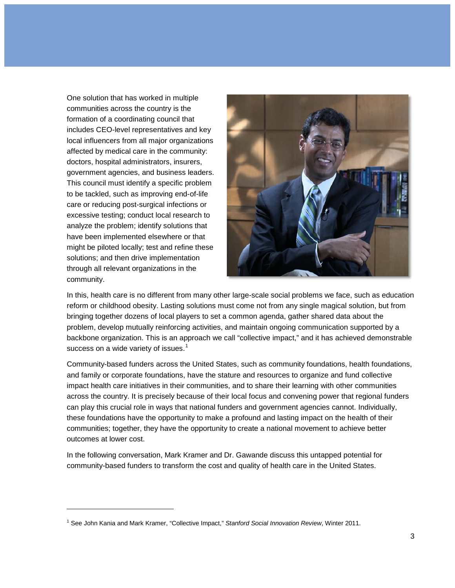One solution that has worked in multiple communities across the country is the formation of a coordinating council that includes CEO-level representatives and key local influencers from all major organizations affected by medical care in the community: doctors, hospital administrators, insurers, government agencies, and business leaders. This council must identify a specific problem to be tackled, such as improving end-of-life care or reducing post-surgical infections or excessive testing; conduct local research to analyze the problem; identify solutions that have been implemented elsewhere or that might be piloted locally; test and refine these solutions; and then drive implementation through all relevant organizations in the community.

j



In this, health care is no different from many other large-scale social problems we face, such as education reform or childhood obesity. Lasting solutions must come not from any single magical solution, but from bringing together dozens of local players to set a common agenda, gather shared data about the problem, develop mutually reinforcing activities, and maintain ongoing communication supported by a backbone organization. This is an approach we call "collective impact," and it has achieved demonstrable success on a wide variety of issues. $1$ 

Community-based funders across the United States, such as community foundations, health foundations, and family or corporate foundations, have the stature and resources to organize and fund collective impact health care initiatives in their communities, and to share their learning with other communities across the country. It is precisely because of their local focus and convening power that regional funders can play this crucial role in ways that national funders and government agencies cannot. Individually, these foundations have the opportunity to make a profound and lasting impact on the health of their communities; together, they have the opportunity to create a national movement to achieve better outcomes at lower cost.

In the following conversation, Mark Kramer and Dr. Gawande discuss this untapped potential for community-based funders to transform the cost and quality of health care in the United States.

<span id="page-4-0"></span><sup>1</sup> See John Kania and Mark Kramer, "Collective Impact," *Stanford Social Innovation Review*, Winter 2011.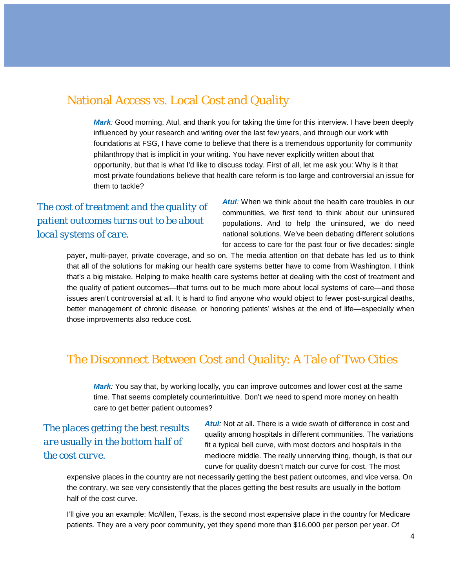### National Access vs. Local Cost and Quality

**Mark**: Good morning, Atul, and thank you for taking the time for this interview. I have been deeply influenced by your research and writing over the last few years, and through our work with foundations at FSG, I have come to believe that there is a tremendous opportunity for community philanthropy that is implicit in your writing. You have never explicitly written about that opportunity, but that is what I'd like to discuss today. First of all, let me ask you: Why is it that most private foundations believe that health care reform is too large and controversial an issue for them to tackle?

### *The cost of treatment and the quality of patient outcomes turns out to be about local systems of care.*

**Atul**: When we think about the health care troubles in our communities, we first tend to think about our uninsured populations. And to help the uninsured, we do need national solutions. We've been debating different solutions for access to care for the past four or five decades: single

payer, multi-payer, private coverage, and so on. The media attention on that debate has led us to think that all of the solutions for making our health care systems better have to come from Washington. I think that's a big mistake. Helping to make health care systems better at dealing with the cost of treatment and the quality of patient outcomes—that turns out to be much more about local systems of care—and those issues aren't controversial at all. It is hard to find anyone who would object to fewer post-surgical deaths, better management of chronic disease, or honoring patients' wishes at the end of life—especially when those improvements also reduce cost.

## The Disconnect Between Cost and Quality: A Tale of Two Cities

*Mark:* You say that, by working locally, you can improve outcomes and lower cost at the same time. That seems completely counterintuitive. Don't we need to spend more money on health care to get better patient outcomes?

*The places getting the best results are usually in the bottom half of the cost curve.*

**Atul**: Not at all. There is a wide swath of difference in cost and quality among hospitals in different communities. The variations fit a typical bell curve, with most doctors and hospitals in the mediocre middle. The really unnerving thing, though, is that our curve for quality doesn't match our curve for cost. The most

expensive places in the country are not necessarily getting the best patient outcomes, and vice versa. On the contrary, we see very consistently that the places getting the best results are usually in the bottom half of the cost curve.

I'll give you an example: McAllen, Texas, is the second most expensive place in the country for Medicare patients. They are a very poor community, yet they spend more than \$16,000 per person per year. Of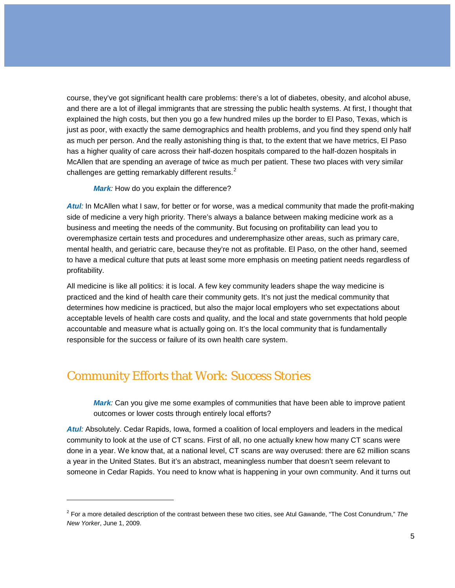course, they've got significant health care problems: there's a lot of diabetes, obesity, and alcohol abuse, and there are a lot of illegal immigrants that are stressing the public health systems. At first, I thought that explained the high costs, but then you go a few hundred miles up the border to El Paso, Texas, which is just as poor, with exactly the same demographics and health problems, and you find they spend only half as much per person. And the really astonishing thing is that, to the extent that we have metrics, El Paso has a higher quality of care across their half-dozen hospitals compared to the half-dozen hospitals in McAllen that are spending an average of twice as much per patient. These two places with very similar challenges are getting remarkably different results. $2$ 

*Mark:* How do you explain the difference?

*Atul:* In McAllen what I saw, for better or for worse, was a medical community that made the profit-making side of medicine a very high priority. There's always a balance between making medicine work as a business and meeting the needs of the community. But focusing on profitability can lead you to overemphasize certain tests and procedures and underemphasize other areas, such as primary care, mental health, and geriatric care, because they're not as profitable. El Paso, on the other hand, seemed to have a medical culture that puts at least some more emphasis on meeting patient needs regardless of profitability.

All medicine is like all politics: it is local. A few key community leaders shape the way medicine is practiced and the kind of health care their community gets. It's not just the medical community that determines how medicine is practiced, but also the major local employers who set expectations about acceptable levels of health care costs and quality, and the local and state governments that hold people accountable and measure what is actually going on. It's the local community that is fundamentally responsible for the success or failure of its own health care system.

## Community Efforts that Work: Success Stories

-

*Mark:* Can you give me some examples of communities that have been able to improve patient outcomes or lower costs through entirely local efforts?

*Atul:* Absolutely. Cedar Rapids, Iowa, formed a coalition of local employers and leaders in the medical community to look at the use of CT scans. First of all, no one actually knew how many CT scans were done in a year. We know that, at a national level, CT scans are way overused: there are 62 million scans a year in the United States. But it's an abstract, meaningless number that doesn't seem relevant to someone in Cedar Rapids. You need to know what is happening in your own community. And it turns out

<span id="page-6-0"></span><sup>2</sup> For a more detailed description of the contrast between these two cities, see Atul Gawande, "The Cost Conundrum," *The New Yorker*, June 1, 2009.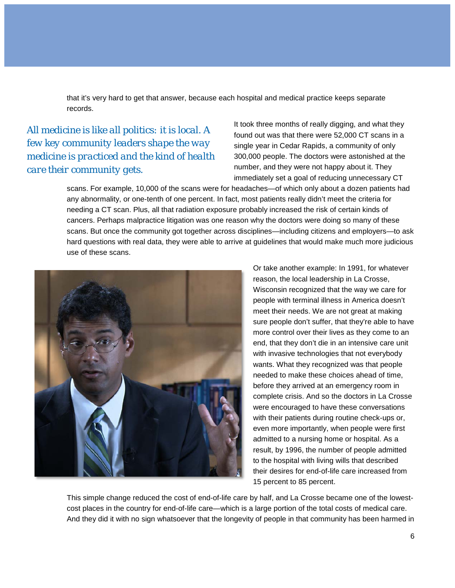that it's very hard to get that answer, because each hospital and medical practice keeps separate records.

### *All medicine is like all politics: it is local. A few key community leaders shape the way medicine is practiced and the kind of health care their community gets.*

It took three months of really digging, and what they found out was that there were 52,000 CT scans in a single year in Cedar Rapids, a community of only 300,000 people. The doctors were astonished at the number, and they were not happy about it. They immediately set a goal of reducing unnecessary CT

scans. For example, 10,000 of the scans were for headaches—of which only about a dozen patients had any abnormality, or one-tenth of one percent. In fact, most patients really didn't meet the criteria for needing a CT scan. Plus, all that radiation exposure probably increased the risk of certain kinds of cancers. Perhaps malpractice litigation was one reason why the doctors were doing so many of these scans. But once the community got together across disciplines—including citizens and employers—to ask hard questions with real data, they were able to arrive at guidelines that would make much more judicious use of these scans.



Or take another example: In 1991, for whatever reason, the local leadership in La Crosse, Wisconsin recognized that the way we care for people with terminal illness in America doesn't meet their needs. We are not great at making sure people don't suffer, that they're able to have more control over their lives as they come to an end, that they don't die in an intensive care unit with invasive technologies that not everybody wants. What they recognized was that people needed to make these choices ahead of time, before they arrived at an emergency room in complete crisis. And so the doctors in La Crosse were encouraged to have these conversations with their patients during routine check-ups or, even more importantly, when people were first admitted to a nursing home or hospital. As a result, by 1996, the number of people admitted to the hospital with living wills that described their desires for end-of-life care increased from 15 percent to 85 percent.

This simple change reduced the cost of end-of-life care by half, and La Crosse became one of the lowestcost places in the country for end-of-life care—which is a large portion of the total costs of medical care. And they did it with no sign whatsoever that the longevity of people in that community has been harmed in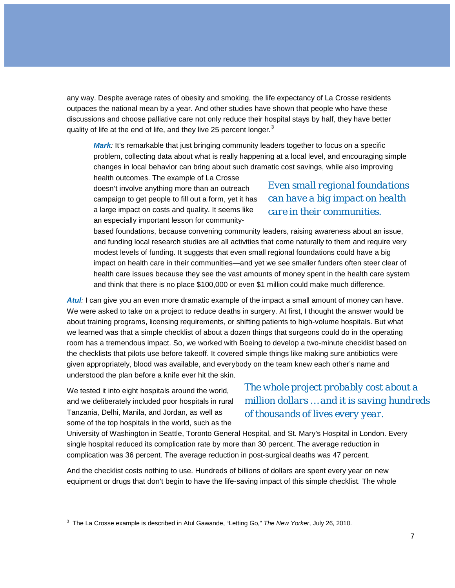any way. Despite average rates of obesity and smoking, the life expectancy of La Crosse residents outpaces the national mean by a year. And other studies have shown that people who have these discussions and choose palliative care not only reduce their hospital stays by half, they have better quality of life at the end of life, and they live 25 percent longer.<sup>[3](#page-6-0)</sup>

*Mark*: It's remarkable that just bringing community leaders together to focus on a specific problem, collecting data about what is really happening at a local level, and encouraging simple changes in local behavior can bring about such dramatic cost savings, while also improving

health outcomes. The example of La Crosse doesn't involve anything more than an outreach campaign to get people to fill out a form, yet it has a large impact on costs and quality. It seems like an especially important lesson for community-

### *Even small regional foundations can have a big impact on health care in their communities.*

based foundations, because convening community leaders, raising awareness about an issue, and funding local research studies are all activities that come naturally to them and require very modest levels of funding. It suggests that even small regional foundations could have a big impact on health care in their communities—and yet we see smaller funders often steer clear of health care issues because they see the vast amounts of money spent in the health care system and think that there is no place \$100,000 or even \$1 million could make much difference.

*Atul:* I can give you an even more dramatic example of the impact a small amount of money can have. We were asked to take on a project to reduce deaths in surgery. At first, I thought the answer would be about training programs, licensing requirements, or shifting patients to high-volume hospitals. But what we learned was that a simple checklist of about a dozen things that surgeons could do in the operating room has a tremendous impact. So, we worked with Boeing to develop a two-minute checklist based on the checklists that pilots use before takeoff. It covered simple things like making sure antibiotics were given appropriately, blood was available, and everybody on the team knew each other's name and understood the plan before a knife ever hit the skin.

We tested it into eight hospitals around the world, and we deliberately included poor hospitals in rural Tanzania, Delhi, Manila, and Jordan, as well as some of the top hospitals in the world, such as the

j

### *The whole project probably cost about a million dollars … and it is saving hundreds of thousands of lives every year.*

University of Washington in Seattle, Toronto General Hospital, and St. Mary's Hospital in London. Every single hospital reduced its complication rate by more than 30 percent. The average reduction in complication was 36 percent. The average reduction in post-surgical deaths was 47 percent.

And the checklist costs nothing to use. Hundreds of billions of dollars are spent every year on new equipment or drugs that don't begin to have the life-saving impact of this simple checklist. The whole

<span id="page-8-0"></span><sup>3</sup> The La Crosse example is described in Atul Gawande, "Letting Go," *The New Yorker*, July 26, 2010.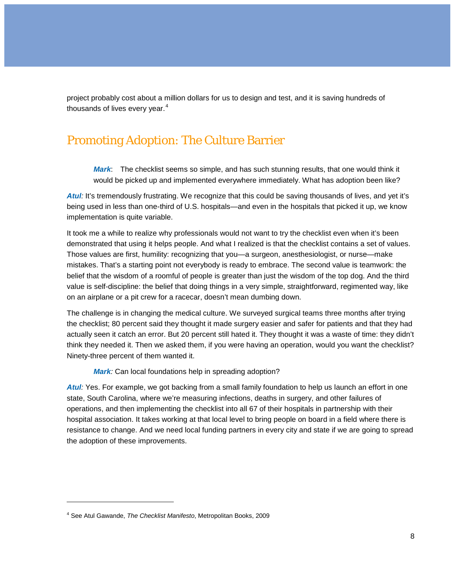project probably cost about a million dollars for us to design and test, and it is saving hundreds of thousands of lives every year. $4$ 

### Promoting Adoption: The Culture Barrier

*Mark*: The checklist seems so simple, and has such stunning results, that one would think it would be picked up and implemented everywhere immediately. What has adoption been like?

Atul<sub>*:*</sub> It's tremendously frustrating. We recognize that this could be saving thousands of lives, and yet it's being used in less than one-third of U.S. hospitals—and even in the hospitals that picked it up, we know implementation is quite variable.

It took me a while to realize why professionals would not want to try the checklist even when it's been demonstrated that using it helps people. And what I realized is that the checklist contains a set of values. Those values are first, humility: recognizing that you—a surgeon, anesthesiologist, or nurse—make mistakes. That's a starting point not everybody is ready to embrace. The second value is teamwork: the belief that the wisdom of a roomful of people is greater than just the wisdom of the top dog. And the third value is self-discipline: the belief that doing things in a very simple, straightforward, regimented way, like on an airplane or a pit crew for a racecar, doesn't mean dumbing down.

The challenge is in changing the medical culture. We surveyed surgical teams three months after trying the checklist; 80 percent said they thought it made surgery easier and safer for patients and that they had actually seen it catch an error. But 20 percent still hated it. They thought it was a waste of time: they didn't think they needed it. Then we asked them, if you were having an operation, would you want the checklist? Ninety-three percent of them wanted it.

*Mark:* Can local foundations help in spreading adoption?

*Atul:* Yes. For example, we got backing from a small family foundation to help us launch an effort in one state, South Carolina, where we're measuring infections, deaths in surgery, and other failures of operations, and then implementing the checklist into all 67 of their hospitals in partnership with their hospital association. It takes working at that local level to bring people on board in a field where there is resistance to change. And we need local funding partners in every city and state if we are going to spread the adoption of these improvements.

<span id="page-9-0"></span>j

<sup>4</sup> See Atul Gawande, *The Checklist Manifesto*, Metropolitan Books, 2009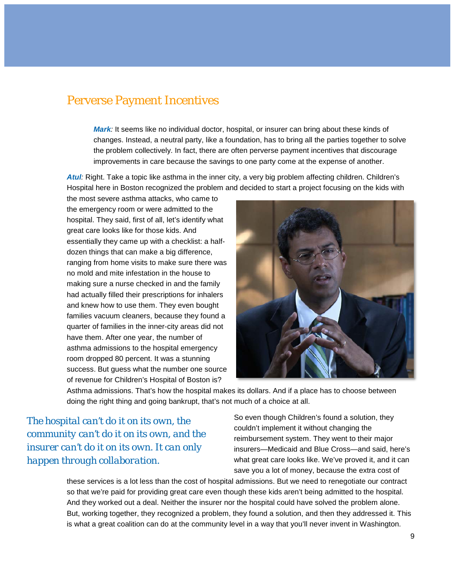#### Perverse Payment Incentives

*Mark:* It seems like no individual doctor, hospital, or insurer can bring about these kinds of changes. Instead, a neutral party, like a foundation, has to bring all the parties together to solve the problem collectively. In fact, there are often perverse payment incentives that discourage improvements in care because the savings to one party come at the expense of another.

Atul<sub>*i*</sub>: Right. Take a topic like asthma in the inner city, a very big problem affecting children. Children's Hospital here in Boston recognized the problem and decided to start a project focusing on the kids with

the most severe asthma attacks, who came to the emergency room or were admitted to the hospital. They said, first of all, let's identify what great care looks like for those kids. And essentially they came up with a checklist: a halfdozen things that can make a big difference, ranging from home visits to make sure there was no mold and mite infestation in the house to making sure a nurse checked in and the family had actually filled their prescriptions for inhalers and knew how to use them. They even bought families vacuum cleaners, because they found a quarter of families in the inner-city areas did not have them. After one year, the number of asthma admissions to the hospital emergency room dropped 80 percent. It was a stunning success. But guess what the number one source of revenue for Children's Hospital of Boston is?



Asthma admissions. That's how the hospital makes its dollars. And if a place has to choose between doing the right thing and going bankrupt, that's not much of a choice at all.

*The hospital can't do it on its own, the community can't do it on its own, and the insurer can't do it on its own. It can only happen through collaboration.*

So even though Children's found a solution, they couldn't implement it without changing the reimbursement system. They went to their major insurers—Medicaid and Blue Cross—and said, here's what great care looks like. We've proved it, and it can save you a lot of money, because the extra cost of

these services is a lot less than the cost of hospital admissions. But we need to renegotiate our contract so that we're paid for providing great care even though these kids aren't being admitted to the hospital. And they worked out a deal. Neither the insurer nor the hospital could have solved the problem alone. But, working together, they recognized a problem, they found a solution, and then they addressed it. This is what a great coalition can do at the community level in a way that you'll never invent in Washington.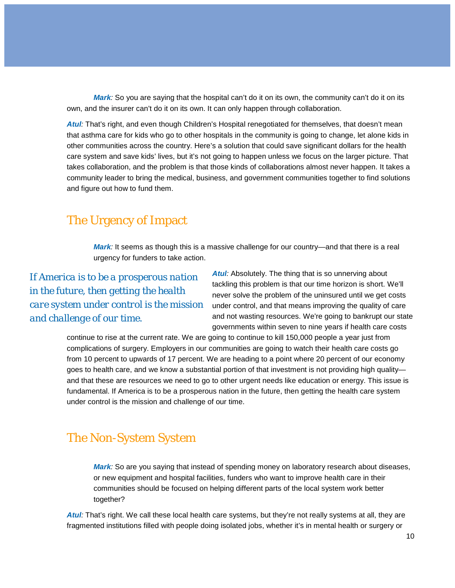*Mark*: So you are saying that the hospital can't do it on its own, the community can't do it on its own, and the insurer can't do it on its own. It can only happen through collaboration.

Atul<sub>*:*</sub> That's right, and even though Children's Hospital renegotiated for themselves, that doesn't mean that asthma care for kids who go to other hospitals in the community is going to change, let alone kids in other communities across the country. Here's a solution that could save significant dollars for the health care system and save kids' lives, but it's not going to happen unless we focus on the larger picture. That takes collaboration, and the problem is that those kinds of collaborations almost never happen. It takes a community leader to bring the medical, business, and government communities together to find solutions and figure out how to fund them.

### The Urgency of Impact

*Mark:* It seems as though this is a massive challenge for our country—and that there is a real urgency for funders to take action.

*If America is to be a prosperous nation in the future, then getting the health care system under control is the mission and challenge of our time.* 

**Atul**: Absolutely. The thing that is so unnerving about tackling this problem is that our time horizon is short. We'll never solve the problem of the uninsured until we get costs under control, and that means improving the quality of care and not wasting resources. We're going to bankrupt our state governments within seven to nine years if health care costs

continue to rise at the current rate. We are going to continue to kill 150,000 people a year just from complications of surgery. Employers in our communities are going to watch their health care costs go from 10 percent to upwards of 17 percent. We are heading to a point where 20 percent of our economy goes to health care, and we know a substantial portion of that investment is not providing high quality and that these are resources we need to go to other urgent needs like education or energy. This issue is fundamental. If America is to be a prosperous nation in the future, then getting the health care system under control is the mission and challenge of our time.

## The Non-System System

*Mark:* So are you saying that instead of spending money on laboratory research about diseases, or new equipment and hospital facilities, funders who want to improve health care in their communities should be focused on helping different parts of the local system work better together?

*Atul:* That's right. We call these local health care systems, but they're not really systems at all, they are fragmented institutions filled with people doing isolated jobs, whether it's in mental health or surgery or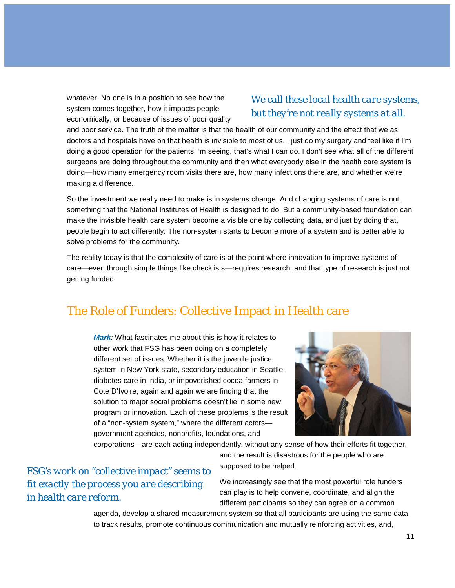whatever. No one is in a position to see how the system comes together, how it impacts people economically, or because of issues of poor quality

#### *We call these local health care systems, but they're not really systems at all.*

and poor service. The truth of the matter is that the health of our community and the effect that we as doctors and hospitals have on that health is invisible to most of us. I just do my surgery and feel like if I'm doing a good operation for the patients I'm seeing, that's what I can do. I don't see what all of the different surgeons are doing throughout the community and then what everybody else in the health care system is doing—how many emergency room visits there are, how many infections there are, and whether we're making a difference.

So the investment we really need to make is in systems change. And changing systems of care is not something that the National Institutes of Health is designed to do. But a community-based foundation can make the invisible health care system become a visible one by collecting data, and just by doing that, people begin to act differently. The non-system starts to become more of a system and is better able to solve problems for the community.

The reality today is that the complexity of care is at the point where innovation to improve systems of care—even through simple things like checklists—requires research, and that type of research is just not getting funded.

## The Role of Funders: Collective Impact in Health care

*Mark:* What fascinates me about this is how it relates to other work that FSG has been doing on a completely different set of issues. Whether it is the juvenile justice system in New York state, secondary education in Seattle, diabetes care in India, or impoverished cocoa farmers in Cote D'Ivoire, again and again we are finding that the solution to major social problems doesn't lie in some new program or innovation. Each of these problems is the result of a "non-system system," where the different actors government agencies, nonprofits, foundations, and



corporations—are each acting independently, without any sense of how their efforts fit together,

*FSG's work on "collective impact" seems to fit exactly the process you are describing in health care reform.*

and the result is disastrous for the people who are supposed to be helped.

We increasingly see that the most powerful role funders can play is to help convene, coordinate, and align the different participants so they can agree on a common

agenda, develop a shared measurement system so that all participants are using the same data to track results, promote continuous communication and mutually reinforcing activities, and,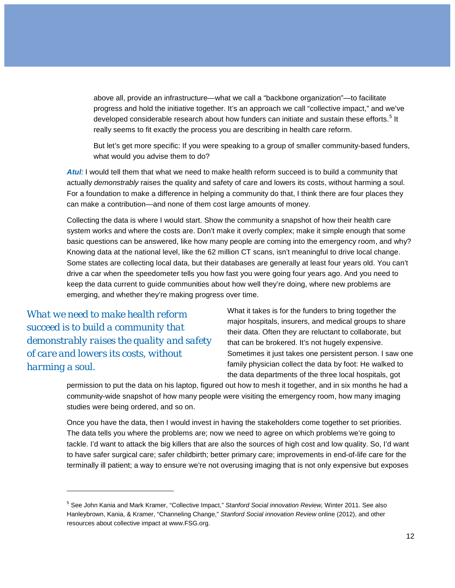above all, provide an infrastructure—what we call a "backbone organization"—to facilitate progress and hold the initiative together. It's an approach we call "collective impact," and we've developed considerable research about how funders can initiate and sustain these efforts.<sup>[5](#page-9-0)</sup> It really seems to fit exactly the process you are describing in health care reform.

But let's get more specific: If you were speaking to a group of smaller community-based funders, what would you advise them to do?

*Atul:* I would tell them that what we need to make health reform succeed is to build a community that actually *demonstrably* raises the quality and safety of care and lowers its costs, without harming a soul. For a foundation to make a difference in helping a community do that, I think there are four places they can make a contribution—and none of them cost large amounts of money.

Collecting the data is where I would start. Show the community a snapshot of how their health care system works and where the costs are. Don't make it overly complex; make it simple enough that some basic questions can be answered, like how many people are coming into the emergency room, and why? Knowing data at the national level, like the 62 million CT scans, isn't meaningful to drive local change. Some states are collecting local data, but their databases are generally at least four years old. You can't drive a car when the speedometer tells you how fast you were going four years ago. And you need to keep the data current to guide communities about how well they're doing, where new problems are emerging, and whether they're making progress over time.

*What we need to make health reform succeed is to build a community that demonstrably raises the quality and safety of care and lowers its costs, without harming a soul.*

j

What it takes is for the funders to bring together the major hospitals, insurers, and medical groups to share their data. Often they are reluctant to collaborate, but that can be brokered. It's not hugely expensive. Sometimes it just takes one persistent person. I saw one family physician collect the data by foot: He walked to the data departments of the three local hospitals, got

permission to put the data on his laptop, figured out how to mesh it together, and in six months he had a community-wide snapshot of how many people were visiting the emergency room, how many imaging studies were being ordered, and so on.

Once you have the data, then I would invest in having the stakeholders come together to set priorities. The data tells you where the problems are; now we need to agree on which problems we're going to tackle. I'd want to attack the big killers that are also the sources of high cost and low quality. So, I'd want to have safer surgical care; safer childbirth; better primary care; improvements in end-of-life care for the terminally ill patient; a way to ensure we're not overusing imaging that is not only expensive but exposes

<sup>5</sup> See John Kania and Mark Kramer, "Collective Impact," *Stanford Social innovation Review,* Winter 2011. See also Hanleybrown, Kania, & Kramer, "Channeling Change," *Stanford Social innovation Review* online (2012), and other resources about collective impact at www.FSG.org.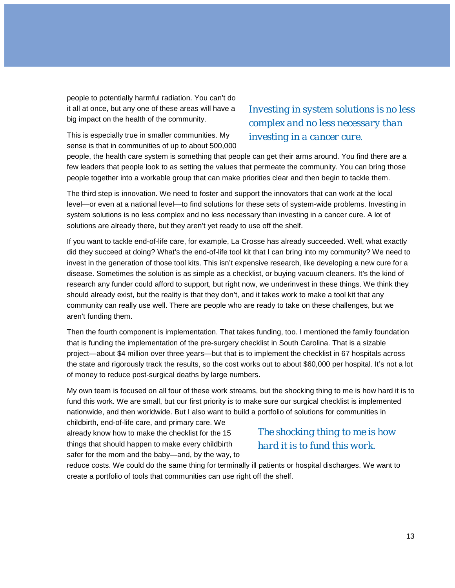people to potentially harmful radiation. You can't do it all at once, but any one of these areas will have a big impact on the health of the community.

This is especially true in smaller communities. My sense is that in communities of up to about 500,000

### *Investing in system solutions is no less complex and no less necessary than investing in a cancer cure.*

people, the health care system is something that people can get their arms around. You find there are a few leaders that people look to as setting the values that permeate the community. You can bring those people together into a workable group that can make priorities clear and then begin to tackle them.

The third step is innovation. We need to foster and support the innovators that can work at the local level—or even at a national level—to find solutions for these sets of system-wide problems. Investing in system solutions is no less complex and no less necessary than investing in a cancer cure. A lot of solutions are already there, but they aren't yet ready to use off the shelf.

If you want to tackle end-of-life care, for example, La Crosse has already succeeded. Well, what exactly did they succeed at doing? What's the end-of-life tool kit that I can bring into my community? We need to invest in the generation of those tool kits. This isn't expensive research, like developing a new cure for a disease. Sometimes the solution is as simple as a checklist, or buying vacuum cleaners. It's the kind of research any funder could afford to support, but right now, we underinvest in these things. We think they should already exist, but the reality is that they don't, and it takes work to make a tool kit that any community can really use well. There are people who are ready to take on these challenges, but we aren't funding them.

Then the fourth component is implementation. That takes funding, too. I mentioned the family foundation that is funding the implementation of the pre-surgery checklist in South Carolina. That is a sizable project—about \$4 million over three years—but that is to implement the checklist in 67 hospitals across the state and rigorously track the results, so the cost works out to about \$60,000 per hospital. It's not a lot of money to reduce post-surgical deaths by large numbers.

My own team is focused on all four of these work streams, but the shocking thing to me is how hard it is to fund this work. We are small, but our first priority is to make sure our surgical checklist is implemented nationwide, and then worldwide. But I also want to build a portfolio of solutions for communities in

childbirth, end-of-life care, and primary care. We already know how to make the checklist for the 15 things that should happen to make every childbirth safer for the mom and the baby—and, by the way, to

#### *The shocking thing to me is how hard it is to fund this work.*

reduce costs. We could do the same thing for terminally ill patients or hospital discharges. We want to create a portfolio of tools that communities can use right off the shelf.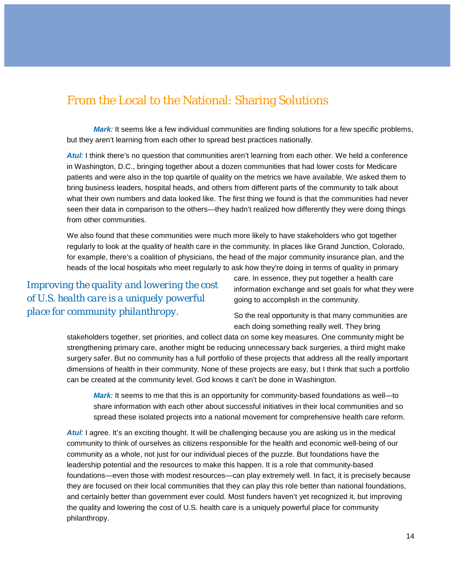## From the Local to the National: Sharing Solutions

*Mark*: It seems like a few individual communities are finding solutions for a few specific problems, but they aren't learning from each other to spread best practices nationally.

Atul<sub>*:*</sub> I think there's no question that communities aren't learning from each other. We held a conference in Washington, D.C., bringing together about a dozen communities that had lower costs for Medicare patients and were also in the top quartile of quality on the metrics we have available. We asked them to bring business leaders, hospital heads, and others from different parts of the community to talk about what their own numbers and data looked like. The first thing we found is that the communities had never seen their data in comparison to the others—they hadn't realized how differently they were doing things from other communities.

We also found that these communities were much more likely to have stakeholders who got together regularly to look at the quality of health care in the community. In places like Grand Junction, Colorado, for example, there's a coalition of physicians, the head of the major community insurance plan, and the heads of the local hospitals who meet regularly to ask how they're doing in terms of quality in primary

*Improving the quality and lowering the cost of U.S. health care is a uniquely powerful place for community philanthropy.*

care. In essence, they put together a health care information exchange and set goals for what they were going to accomplish in the community.

So the real opportunity is that many communities are each doing something really well. They bring

stakeholders together, set priorities, and collect data on some key measures. One community might be strengthening primary care, another might be reducing unnecessary back surgeries, a third might make surgery safer. But no community has a full portfolio of these projects that address all the really important dimensions of health in their community. None of these projects are easy, but I think that such a portfolio can be created at the community level. God knows it can't be done in Washington.

*Mark*: It seems to me that this is an opportunity for community-based foundations as well—to share information with each other about successful initiatives in their local communities and so spread these isolated projects into a national movement for comprehensive health care reform.

*Atul:* I agree. It's an exciting thought. It will be challenging because you are asking us in the medical community to think of ourselves as citizens responsible for the health and economic well-being of our community as a whole, not just for our individual pieces of the puzzle. But foundations have the leadership potential and the resources to make this happen. It is a role that community-based foundations—even those with modest resources—can play extremely well. In fact, it is precisely because they are focused on their local communities that they can play this role better than national foundations, and certainly better than government ever could. Most funders haven't yet recognized it, but improving the quality and lowering the cost of U.S. health care is a uniquely powerful place for community philanthropy.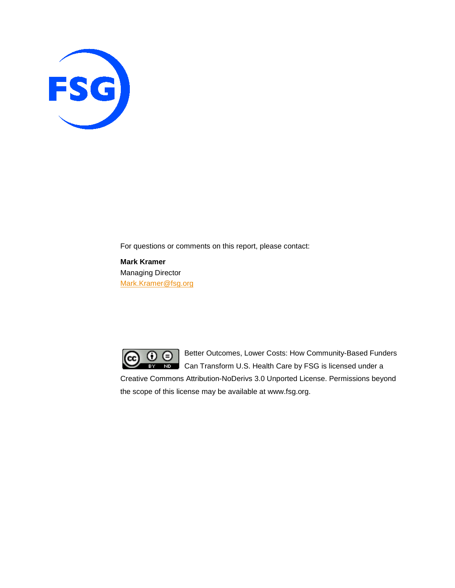

For questions or comments on this report, please contact:

**Mark Kramer** Managing Director [Mark.Kramer@fsg.org](mailto:Mark.Kramer@fsg.org)



Better Outcomes, Lower Costs: How Community-Based Funders **ND** Can Transform U.S. Health Care by FSG is licensed under a

Creative Commons Attribution-NoDerivs 3.0 Unported License. Permissions beyond the scope of this license may be available at www.fsg.org.